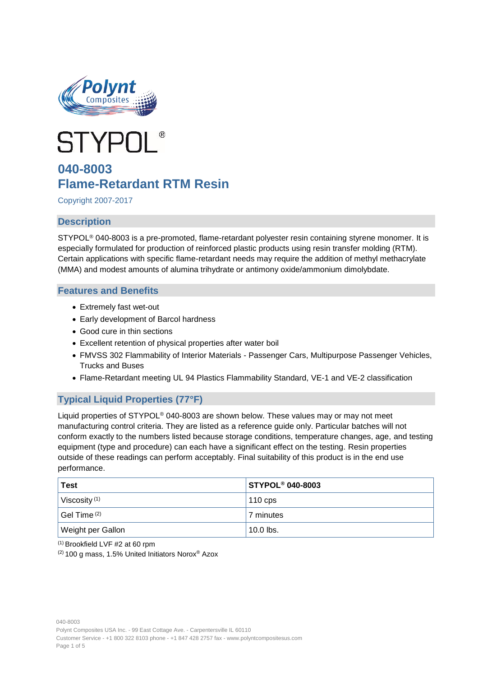



# **040-8003 Flame-Retardant RTM Resin**

Copyright 2007-2017

# **Description**

STYPOL® 040-8003 is a pre-promoted, flame-retardant polyester resin containing styrene monomer. It is especially formulated for production of reinforced plastic products using resin transfer molding (RTM). Certain applications with specific flame-retardant needs may require the addition of methyl methacrylate (MMA) and modest amounts of alumina trihydrate or antimony oxide/ammonium dimolybdate.

### **Features and Benefits**

- Extremely fast wet-out
- Early development of Barcol hardness
- Good cure in thin sections
- Excellent retention of physical properties after water boil
- FMVSS 302 Flammability of Interior Materials Passenger Cars, Multipurpose Passenger Vehicles, Trucks and Buses
- Flame-Retardant meeting UL 94 Plastics Flammability Standard, VE-1 and VE-2 classification

# **Typical Liquid Properties (77°F)**

Liquid properties of STYPOL® 040-8003 are shown below. These values may or may not meet manufacturing control criteria. They are listed as a reference guide only. Particular batches will not conform exactly to the numbers listed because storage conditions, temperature changes, age, and testing equipment (type and procedure) can each have a significant effect on the testing. Resin properties outside of these readings can perform acceptably. Final suitability of this product is in the end use performance.

| <b>Test</b>                              | <b>STYPOL<sup>®</sup> 040-8003</b> |
|------------------------------------------|------------------------------------|
| Viscosity $(1)$                          | 110 $cps$                          |
| $\mathsf{ }$ Gel Time $\mathsf{ }^{(2)}$ | 7 minutes                          |
| Weight per Gallon                        | $10.0$ lbs.                        |

 $(1)$  Brookfield LVF #2 at 60 rpm

(2) 100 g mass, 1.5% United Initiators Norox® Azox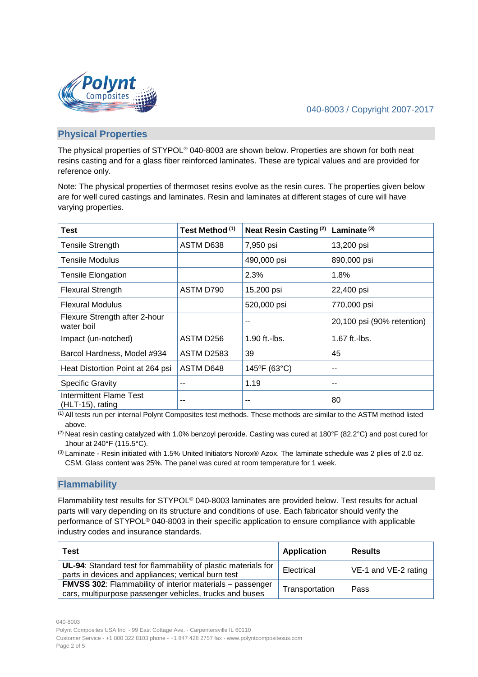



### **Physical Properties**

The physical properties of STYPOL® 040-8003 are shown below. Properties are shown for both neat resins casting and for a glass fiber reinforced laminates. These are typical values and are provided for reference only.

Note: The physical properties of thermoset resins evolve as the resin cures. The properties given below are for well cured castings and laminates. Resin and laminates at different stages of cure will have varying properties.

| <b>Test</b>                                           | Test Method (1)   | Neat Resin Casting <sup>(2)</sup> | Laminate $(3)$             |  |
|-------------------------------------------------------|-------------------|-----------------------------------|----------------------------|--|
| <b>Tensile Strength</b>                               | ASTM D638         | 7,950 psi                         | 13,200 psi                 |  |
| Tensile Modulus                                       |                   | 490,000 psi                       | 890,000 psi                |  |
| Tensile Elongation                                    |                   | 2.3%                              | 1.8%                       |  |
| <b>Flexural Strength</b>                              | ASTM D790         | 15,200 psi                        | 22,400 psi                 |  |
| <b>Flexural Modulus</b>                               |                   | 520,000 psi                       | 770,000 psi                |  |
| Flexure Strength after 2-hour<br>water boil           |                   |                                   | 20,100 psi (90% retention) |  |
| Impact (un-notched)                                   | ASTM D256         | $1.90$ ft.-lbs.                   | $1.67$ ft.-lbs.            |  |
| Barcol Hardness, Model #934                           | <b>ASTM D2583</b> | 39                                | 45                         |  |
| Heat Distortion Point at 264 psi                      | ASTM D648         | 145°F (63°C)                      | --                         |  |
| <b>Specific Gravity</b>                               |                   | 1.19                              | --                         |  |
| <b>Intermittent Flame Test</b><br>$(HLT-15)$ , rating | --                | --                                | 80                         |  |

 $(1)$  All tests run per internal Polynt Composites test methods. These methods are similar to the ASTM method listed above.

(2) Neat resin casting catalyzed with 1.0% benzoyl peroxide. Casting was cured at 180°F (82.2°C) and post cured for 1hour at 240°F (115.5°C).

(3) Laminate - Resin initiated with 1.5% United Initiators Norox® Azox. The laminate schedule was 2 plies of 2.0 oz. CSM. Glass content was 25%. The panel was cured at room temperature for 1 week.

# **Flammability**

Flammability test results for STYPOL® 040-8003 laminates are provided below. Test results for actual parts will vary depending on its structure and conditions of use. Each fabricator should verify the performance of STYPOL® 040-8003 in their specific application to ensure compliance with applicable industry codes and insurance standards.

| Test                                                                                                                        | <b>Application</b> | <b>Results</b>       |
|-----------------------------------------------------------------------------------------------------------------------------|--------------------|----------------------|
| UL-94: Standard test for flammability of plastic materials for<br>parts in devices and appliances; vertical burn test       | Electrical         | VE-1 and VE-2 rating |
| <b>FMVSS 302:</b> Flammability of interior materials – passenger<br>cars, multipurpose passenger vehicles, trucks and buses | Transportation     | Pass                 |

040-8003 Polynt Composites USA Inc. - 99 East Cottage Ave. - Carpentersville IL 60110 Customer Service - +1 800 322 8103 phone - +1 847 428 2757 fax - www.polyntcompositesus.com Page 2 of 5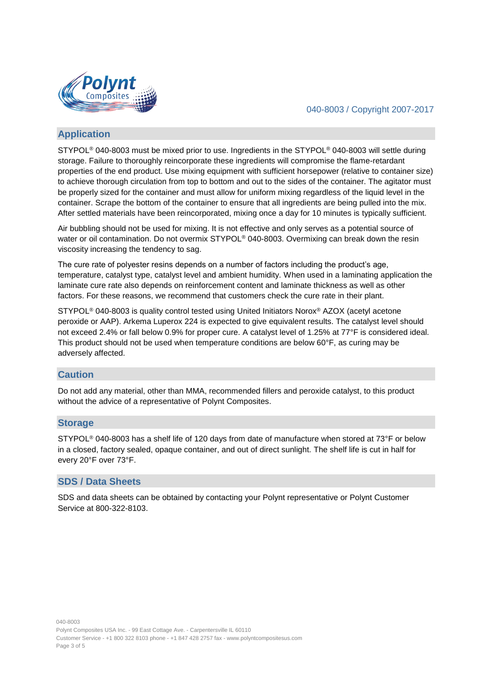

#### 040-8003 / Copyright 2007-2017

## **Application**

STYPOL® 040-8003 must be mixed prior to use. Ingredients in the STYPOL® 040-8003 will settle during storage. Failure to thoroughly reincorporate these ingredients will compromise the flame-retardant properties of the end product. Use mixing equipment with sufficient horsepower (relative to container size) to achieve thorough circulation from top to bottom and out to the sides of the container. The agitator must be properly sized for the container and must allow for uniform mixing regardless of the liquid level in the container. Scrape the bottom of the container to ensure that all ingredients are being pulled into the mix. After settled materials have been reincorporated, mixing once a day for 10 minutes is typically sufficient.

Air bubbling should not be used for mixing. It is not effective and only serves as a potential source of water or oil contamination. Do not overmix STYPOL<sup>®</sup> 040-8003. Overmixing can break down the resin viscosity increasing the tendency to sag.

The cure rate of polyester resins depends on a number of factors including the product's age, temperature, catalyst type, catalyst level and ambient humidity. When used in a laminating application the laminate cure rate also depends on reinforcement content and laminate thickness as well as other factors. For these reasons, we recommend that customers check the cure rate in their plant.

STYPOL® 040-8003 is quality control tested using United Initiators Norox® AZOX (acetyl acetone peroxide or AAP). Arkema Luperox 224 is expected to give equivalent results. The catalyst level should not exceed 2.4% or fall below 0.9% for proper cure. A catalyst level of 1.25% at 77°F is considered ideal. This product should not be used when temperature conditions are below 60°F, as curing may be adversely affected.

#### **Caution**

Do not add any material, other than MMA, recommended fillers and peroxide catalyst, to this product without the advice of a representative of Polynt Composites.

#### **Storage**

STYPOL® 040-8003 has a shelf life of 120 days from date of manufacture when stored at 73°F or below in a closed, factory sealed, opaque container, and out of direct sunlight. The shelf life is cut in half for every 20°F over 73°F.

#### **SDS / Data Sheets**

SDS and data sheets can be obtained by contacting your Polynt representative or Polynt Customer Service at 800-322-8103.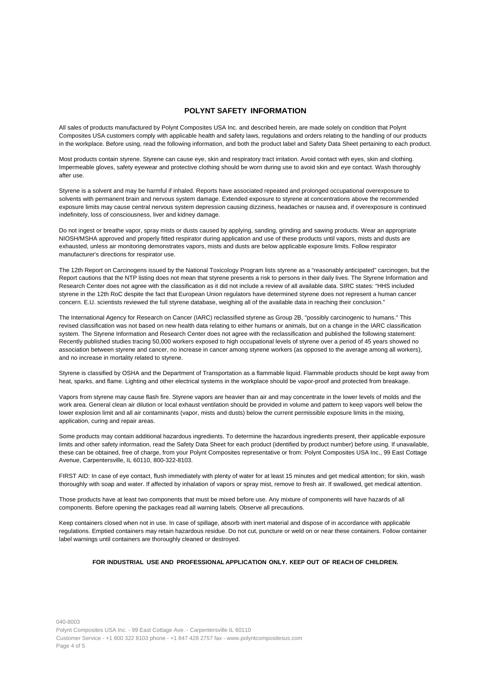#### **POLYNT SAFETY INFORMATION**

All sales of products manufactured by Polynt Composites USA Inc. and described herein, are made solely on condition that Polynt Composites USA customers comply with applicable health and safety laws, regulations and orders relating to the handling of our products in the workplace. Before using, read the following information, and both the product label and Safety Data Sheet pertaining to each product.

Most products contain styrene. Styrene can cause eye, skin and respiratory tract irritation. Avoid contact with eyes, skin and clothing. Impermeable gloves, safety eyewear and protective clothing should be worn during use to avoid skin and eye contact. Wash thoroughly after use.

Styrene is a solvent and may be harmful if inhaled. Reports have associated repeated and prolonged occupational overexposure to solvents with permanent brain and nervous system damage. Extended exposure to styrene at concentrations above the recommended exposure limits may cause central nervous system depression causing dizziness, headaches or nausea and, if overexposure is continued indefinitely, loss of consciousness, liver and kidney damage.

Do not ingest or breathe vapor, spray mists or dusts caused by applying, sanding, grinding and sawing products. Wear an appropriate NIOSH/MSHA approved and properly fitted respirator during application and use of these products until vapors, mists and dusts are exhausted, unless air monitoring demonstrates vapors, mists and dusts are below applicable exposure limits. Follow respirator manufacturer's directions for respirator use.

The 12th Report on Carcinogens issued by the National Toxicology Program lists styrene as a "reasonably anticipated" carcinogen, but the Report cautions that the NTP listing does not mean that styrene presents a risk to persons in their daily lives. The Styrene Information and Research Center does not agree with the classification as it did not include a review of all available data. SIRC states: "HHS included styrene in the 12th RoC despite the fact that European Union regulators have determined styrene does not represent a human cancer concern. E.U. scientists reviewed the full styrene database, weighing all of the available data in reaching their conclusion."

The International Agency for Research on Cancer (IARC) reclassified styrene as Group 2B, "possibly carcinogenic to humans." This revised classification was not based on new health data relating to either humans or animals, but on a change in the IARC classification system. The Styrene Information and Research Center does not agree with the reclassification and published the following statement: Recently published studies tracing 50,000 workers exposed to high occupational levels of styrene over a period of 45 years showed no association between styrene and cancer, no increase in cancer among styrene workers (as opposed to the average among all workers), and no increase in mortality related to styrene.

Styrene is classified by OSHA and the Department of Transportation as a flammable liquid. Flammable products should be kept away from heat, sparks, and flame. Lighting and other electrical systems in the workplace should be vapor-proof and protected from breakage.

Vapors from styrene may cause flash fire. Styrene vapors are heavier than air and may concentrate in the lower levels of molds and the work area. General clean air dilution or local exhaust ventilation should be provided in volume and pattern to keep vapors well below the lower explosion limit and all air contaminants (vapor, mists and dusts) below the current permissible exposure limits in the mixing, application, curing and repair areas.

Some products may contain additional hazardous ingredients. To determine the hazardous ingredients present, their applicable exposure limits and other safety information, read the Safety Data Sheet for each product (identified by product number) before using. If unavailable, these can be obtained, free of charge, from your Polynt Composites representative or from: Polynt Composites USA Inc., 99 East Cottage Avenue, Carpentersville, IL 60110, 800-322-8103.

FIRST AID: In case of eye contact, flush immediately with plenty of water for at least 15 minutes and get medical attention; for skin, wash thoroughly with soap and water. If affected by inhalation of vapors or spray mist, remove to fresh air. If swallowed, get medical attention.

Those products have at least two components that must be mixed before use. Any mixture of components will have hazards of all components. Before opening the packages read all warning labels. Observe all precautions.

Keep containers closed when not in use. In case of spillage, absorb with inert material and dispose of in accordance with applicable regulations. Emptied containers may retain hazardous residue. Do not cut, puncture or weld on or near these containers. Follow container label warnings until containers are thoroughly cleaned or destroyed.

#### **FOR INDUSTRIAL USE AND PROFESSIONAL APPLICATION ONLY. KEEP OUT OF REACH OF CHILDREN.**